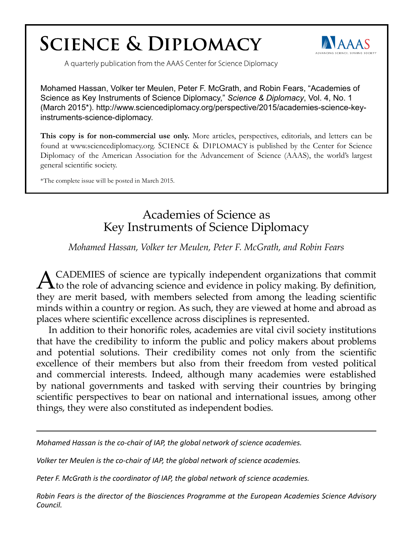## **SCIENCE & DIPLOMACY**



A quarterly publication from the AAAS Center for Science Diplomacy

Mohamed Hassan, Volker ter Meulen, Peter F. McGrath, and Robin Fears, "Academies of Science as Key Instruments of Science Diplomacy," *Science & Diplomacy*, Vol. 4, No. 1 (March 2015\*). http://www.sciencediplomacy.org/perspective/2015/academies-science-keyinstruments-science-diplomacy.

**This copy is for non-commercial use only.** More articles, perspectives, editorials, and letters can be found at www.sciencediplomacy.org. SCIENCE & DIPLOMACY is published by the Center for Science Diplomacy of the American Association for the Advancement of Science (AAAS), the world's largest general scientific society.

\*The complete issue will be posted in March 2015.

## Academies of Science as Key Instruments of Science Diplomacy

## *Mohamed Hassan, Volker ter Meulen, Peter F. McGrath, and Robin Fears*

ACADEMIES of science are typically independent organizations that commit<br>to the role of advancing science and evidence in policy making. By definition, they are merit based, with members selected from among the leading scientific minds within a country or region. As such, they are viewed at home and abroad as places where scientific excellence across disciplines is represented.

In addition to their honorific roles, academies are vital civil society institutions that have the credibility to inform the public and policy makers about problems and potential solutions. Their credibility comes not only from the scientific excellence of their members but also from their freedom from vested political and commercial interests. Indeed, although many academies were established by national governments and tasked with serving their countries by bringing scientific perspectives to bear on national and international issues, among other things, they were also constituted as independent bodies.

*Mohamed Hassan is the co-chair of IAP, the global network of science academies.*

*Volker ter Meulen is the co-chair of IAP, the global network of science academies.*

*Peter F. McGrath is the coordinator of IAP, the global network of science academies.*

*Robin Fears is the director of the Biosciences Programme at the European Academies Science Advisory Council.*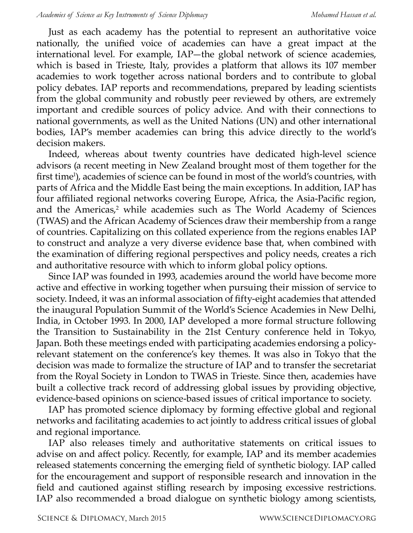Just as each academy has the potential to represent an authoritative voice nationally, the unified voice of academies can have a great impact at the international level. For example, IAP—the global network of science academies, which is based in Trieste, Italy, provides a platform that allows its 107 member academies to work together across national borders and to contribute to global policy debates. IAP reports and recommendations, prepared by leading scientists from the global community and robustly peer reviewed by others, are extremely important and credible sources of policy advice. And with their connections to national governments, as well as the United Nations (UN) and other international bodies, IAP's member academies can bring this advice directly to the world's decision makers.

Indeed, whereas about twenty countries have dedicated high-level science advisors (a recent meeting in New Zealand brought most of them together for the first time<sup>1</sup>), academies of science can be found in most of the world's countries, with parts of Africa and the Middle East being the main exceptions. In addition, IAP has four affiliated regional networks covering Europe, Africa, the Asia-Pacific region, and the Americas,<sup>2</sup> while academies such as The World Academy of Sciences (TWAS) and the African Academy of Sciences draw their membership from a range of countries. Capitalizing on this collated experience from the regions enables IAP to construct and analyze a very diverse evidence base that, when combined with the examination of differing regional perspectives and policy needs, creates a rich and authoritative resource with which to inform global policy options.

Since IAP was founded in 1993, academies around the world have become more active and effective in working together when pursuing their mission of service to society. Indeed, it was an informal association of fifty-eight academies that attended the inaugural Population Summit of the World's Science Academies in New Delhi, India, in October 1993. In 2000, IAP developed a more formal structure following the Transition to Sustainability in the 21st Century conference held in Tokyo, Japan. Both these meetings ended with participating academies endorsing a policyrelevant statement on the conference's key themes. It was also in Tokyo that the decision was made to formalize the structure of IAP and to transfer the secretariat from the Royal Society in London to TWAS in Trieste. Since then, academies have built a collective track record of addressing global issues by providing objective, evidence-based opinions on science-based issues of critical importance to society.

IAP has promoted science diplomacy by forming effective global and regional networks and facilitating academies to act jointly to address critical issues of global and regional importance.

IAP also releases timely and authoritative statements on critical issues to advise on and affect policy. Recently, for example, IAP and its member academies released statements concerning the emerging field of synthetic biology. IAP called for the encouragement and support of responsible research and innovation in the field and cautioned against stifling research by imposing excessive restrictions. IAP also recommended a broad dialogue on synthetic biology among scientists,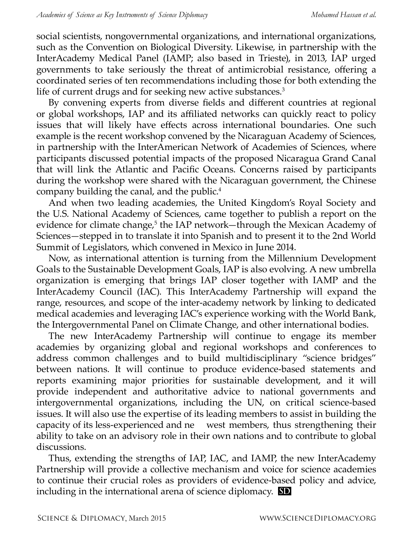social scientists, nongovernmental organizations, and international organizations, such as the Convention on Biological Diversity. Likewise, in partnership with the InterAcademy Medical Panel (IAMP; also based in Trieste), in 2013, IAP urged governments to take seriously the threat of antimicrobial resistance, offering a coordinated series of ten recommendations including those for both extending the life of current drugs and for seeking new active substances.<sup>3</sup>

By convening experts from diverse fields and different countries at regional or global workshops, IAP and its affiliated networks can quickly react to policy issues that will likely have effects across international boundaries. One such example is the recent workshop convened by the Nicaraguan Academy of Sciences, in partnership with the InterAmerican Network of Academies of Sciences, where participants discussed potential impacts of the proposed Nicaragua Grand Canal that will link the Atlantic and Pacific Oceans. Concerns raised by participants during the workshop were shared with the Nicaraguan government, the Chinese company building the canal, and the public.<sup>4</sup>

And when two leading academies, the United Kingdom's Royal Society and the U.S. National Academy of Sciences, came together to publish a report on the evidence for climate change,<sup>5</sup> the IAP network—through the Mexican Academy of Sciences—stepped in to translate it into Spanish and to present it to the 2nd World Summit of Legislators, which convened in Mexico in June 2014.

Now, as international attention is turning from the Millennium Development Goals to the Sustainable Development Goals, IAP is also evolving. A new umbrella organization is emerging that brings IAP closer together with IAMP and the InterAcademy Council (IAC). This InterAcademy Partnership will expand the range, resources, and scope of the inter-academy network by linking to dedicated medical academies and leveraging IAC's experience working with the World Bank, the Intergovernmental Panel on Climate Change, and other international bodies.

The new InterAcademy Partnership will continue to engage its member academies by organizing global and regional workshops and conferences to address common challenges and to build multidisciplinary "science bridges" between nations. It will continue to produce evidence-based statements and reports examining major priorities for sustainable development, and it will provide independent and authoritative advice to national governments and intergovernmental organizations, including the UN, on critical science-based issues. It will also use the expertise of its leading members to assist in building the capacity of its less-experienced and ne west members, thus strengthening their ability to take on an advisory role in their own nations and to contribute to global discussions.

Thus, extending the strengths of IAP, IAC, and IAMP, the new InterAcademy Partnership will provide a collective mechanism and voice for science academies to continue their crucial roles as providers of evidence-based policy and advice, including in the international arena of science diplomacy. **SD**